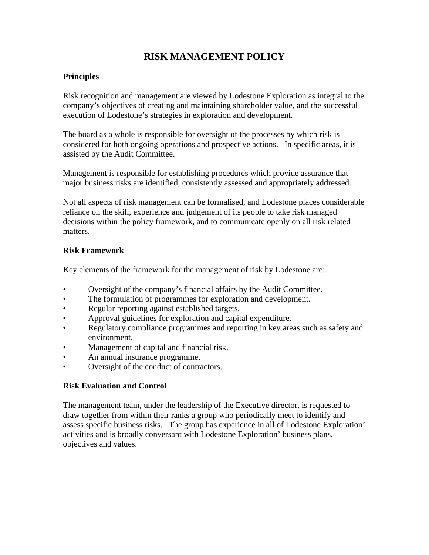# **RISK MANAGEMENT POLICY**

## **Principles**

Risk recognition and management are viewed by Lodestone Exploration as integral to the company's objectives of creating and maintaining shareholder value, and the successful execution of Lodestone's strategies in exploration and development.

The board as a whole is responsible for oversight of the processes by which risk is considered for both ongoing operations and prospective actions. In specific areas, it is assisted by the Audit Committee.

Management is responsible for establishing procedures which provide assurance that major business risks are identified, consistently assessed and appropriately addressed.

Not all aspects of risk management can be formalised, and Lodestone places considerable reliance on the skill, experience and judgement of its people to take risk managed decisions within the policy framework, and to communicate openly on all risk related matters.

#### **Risk Framework**

Key elements of the framework for the management of risk by Lodestone are:

- Oversight of the company's financial affairs by the Audit Committee.
- The formulation of programmes for exploration and development.
- Regular reporting against established targets.
- Approval guidelines for exploration and capital expenditure.
- Regulatory compliance programmes and reporting in key areas such as safety and environment.
- Management of capital and financial risk.
- An annual insurance programme.
- Oversight of the conduct of contractors.

## **Risk Evaluation and Control**

The management team, under the leadership of the Executive director, is requested to draw together from within their ranks a group who periodically meet to identify and assess specific business risks. The group has experience in all of Lodestone Exploration' activities and is broadly conversant with Lodestone Exploration' business plans, objectives and values.